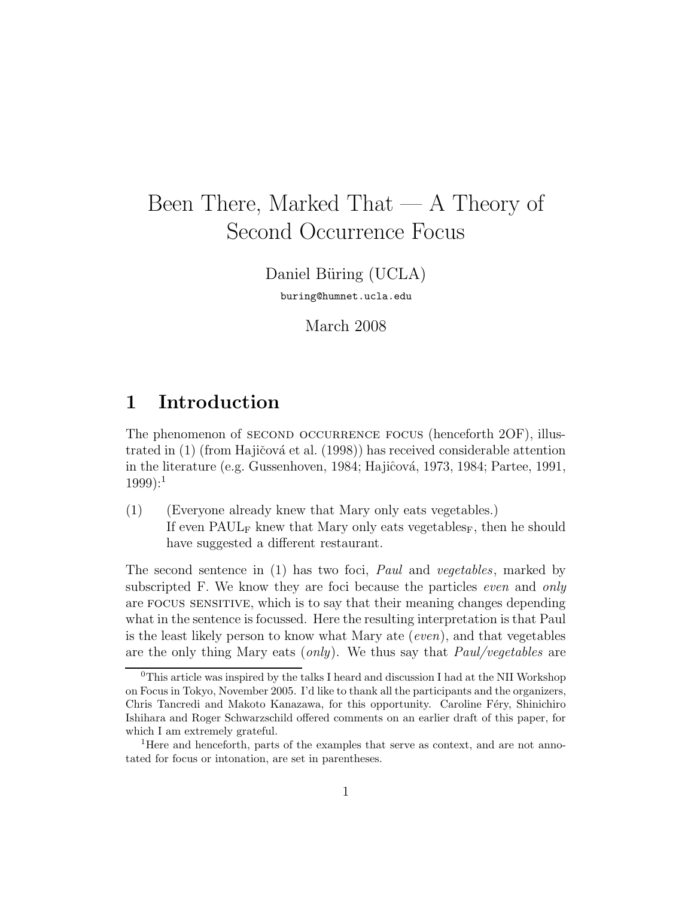# Been There, Marked That — A Theory of Second Occurrence Focus

Daniel Büring (UCLA) buring@humnet.ucla.edu

March 2008

# 1 Introduction

The phenomenon of SECOND OCCURRENCE FOCUS (henceforth 2OF), illustrated in  $(1)$  (from Hajičová et al.  $(1998)$ ) has received considerable attention in the literature (e.g. Gussenhoven, 1984; Hajiĉová, 1973, 1984; Partee, 1991,  $1999$ :<sup>1</sup>

(1) (Everyone already knew that Mary only eats vegetables.) If even  $\text{PAUL}_\text{F}$  knew that Mary only eats vegetables<sub>F</sub>, then he should have suggested a different restaurant.

The second sentence in (1) has two foci, Paul and vegetables, marked by subscripted F. We know they are foci because the particles *even* and *only* are focus sensitive, which is to say that their meaning changes depending what in the sentence is focussed. Here the resulting interpretation is that Paul is the least likely person to know what Mary ate (even), and that vegetables are the only thing Mary eats  $(only)$ . We thus say that  $Paul/vegetables$  are

 $\rm{^{0}This}$  article was inspired by the talks I heard and discussion I had at the NII Workshop on Focus in Tokyo, November 2005. I'd like to thank all the participants and the organizers, Chris Tancredi and Makoto Kanazawa, for this opportunity. Caroline Féry, Shinichiro Ishihara and Roger Schwarzschild offered comments on an earlier draft of this paper, for which I am extremely grateful.

<sup>&</sup>lt;sup>1</sup>Here and henceforth, parts of the examples that serve as context, and are not annotated for focus or intonation, are set in parentheses.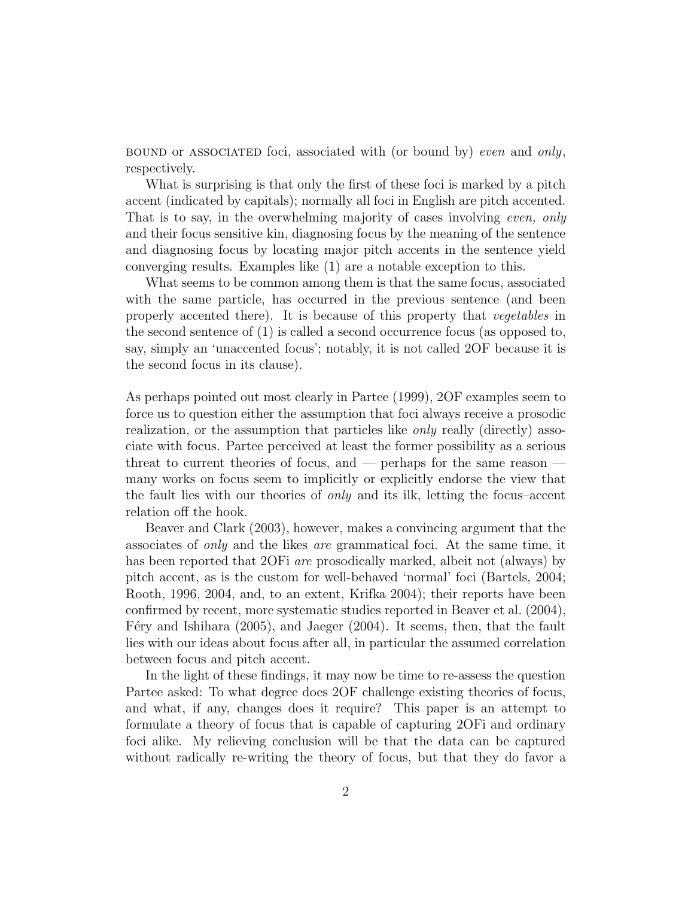BOUND or ASSOCIATED foci, associated with (or bound by) even and only, respectively.

What is surprising is that only the first of these foci is marked by a pitch accent (indicated by capitals); normally all foci in English are pitch accented. That is to say, in the overwhelming majority of cases involving even, only and their focus sensitive kin, diagnosing focus by the meaning of the sentence and diagnosing focus by locating major pitch accents in the sentence yield converging results. Examples like (1) are a notable exception to this.

What seems to be common among them is that the same focus, associated with the same particle, has occurred in the previous sentence (and been properly accented there). It is because of this property that vegetables in the second sentence of (1) is called a second occurrence focus (as opposed to, say, simply an 'unaccented focus'; notably, it is not called 2OF because it is the second focus in its clause).

As perhaps pointed out most clearly in Partee (1999), 2OF examples seem to force us to question either the assumption that foci always receive a prosodic realization, or the assumption that particles like only really (directly) associate with focus. Partee perceived at least the former possibility as a serious threat to current theories of focus, and — perhaps for the same reason many works on focus seem to implicitly or explicitly endorse the view that the fault lies with our theories of only and its ilk, letting the focus–accent relation off the hook.

Beaver and Clark (2003), however, makes a convincing argument that the associates of only and the likes are grammatical foci. At the same time, it has been reported that 2OFi *are* prosodically marked, albeit not (always) by pitch accent, as is the custom for well-behaved 'normal' foci (Bartels, 2004; Rooth, 1996, 2004, and, to an extent, Krifka 2004); their reports have been confirmed by recent, more systematic studies reported in Beaver et al. (2004), F'ery and Ishihara  $(2005)$ , and Jaeger  $(2004)$ . It seems, then, that the fault lies with our ideas about focus after all, in particular the assumed correlation between focus and pitch accent.

In the light of these findings, it may now be time to re-assess the question Partee asked: To what degree does 2OF challenge existing theories of focus, and what, if any, changes does it require? This paper is an attempt to formulate a theory of focus that is capable of capturing 2OFi and ordinary foci alike. My relieving conclusion will be that the data can be captured without radically re-writing the theory of focus, but that they do favor a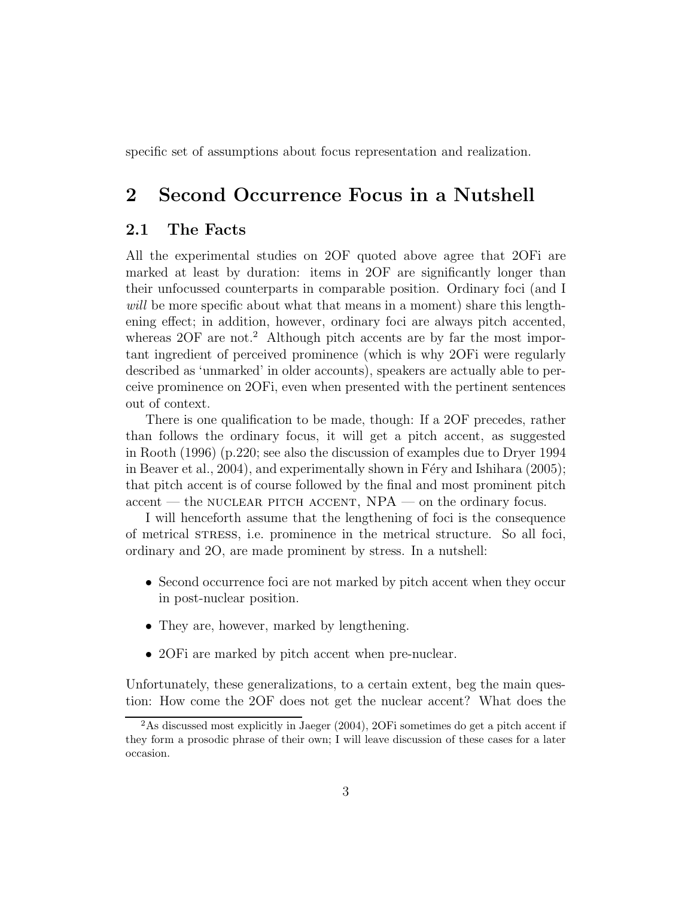specific set of assumptions about focus representation and realization.

# 2 Second Occurrence Focus in a Nutshell

#### 2.1 The Facts

All the experimental studies on 2OF quoted above agree that 2OFi are marked at least by duration: items in 2OF are significantly longer than their unfocussed counterparts in comparable position. Ordinary foci (and I will be more specific about what that means in a moment) share this lengthening effect; in addition, however, ordinary foci are always pitch accented, whereas 2OF are not.<sup>2</sup> Although pitch accents are by far the most important ingredient of perceived prominence (which is why 2OFi were regularly described as 'unmarked' in older accounts), speakers are actually able to perceive prominence on 2OFi, even when presented with the pertinent sentences out of context.

There is one qualification to be made, though: If a 2OF precedes, rather than follows the ordinary focus, it will get a pitch accent, as suggested in Rooth (1996) (p.220; see also the discussion of examples due to Dryer 1994 in Beaver et al.,  $2004$ , and experimentally shown in Féry and Ishihara (2005); that pitch accent is of course followed by the final and most prominent pitch  $\alpha$  accent — the NUCLEAR PITCH ACCENT,  $NPA$  — on the ordinary focus.

I will henceforth assume that the lengthening of foci is the consequence of metrical stress, i.e. prominence in the metrical structure. So all foci, ordinary and 2O, are made prominent by stress. In a nutshell:

- Second occurrence foci are not marked by pitch accent when they occur in post-nuclear position.
- They are, however, marked by lengthening.
- 20 Fi are marked by pitch accent when pre-nuclear.

Unfortunately, these generalizations, to a certain extent, beg the main question: How come the 2OF does not get the nuclear accent? What does the

<sup>&</sup>lt;sup>2</sup>As discussed most explicitly in Jaeger (2004), 2OFi sometimes do get a pitch accent if they form a prosodic phrase of their own; I will leave discussion of these cases for a later occasion.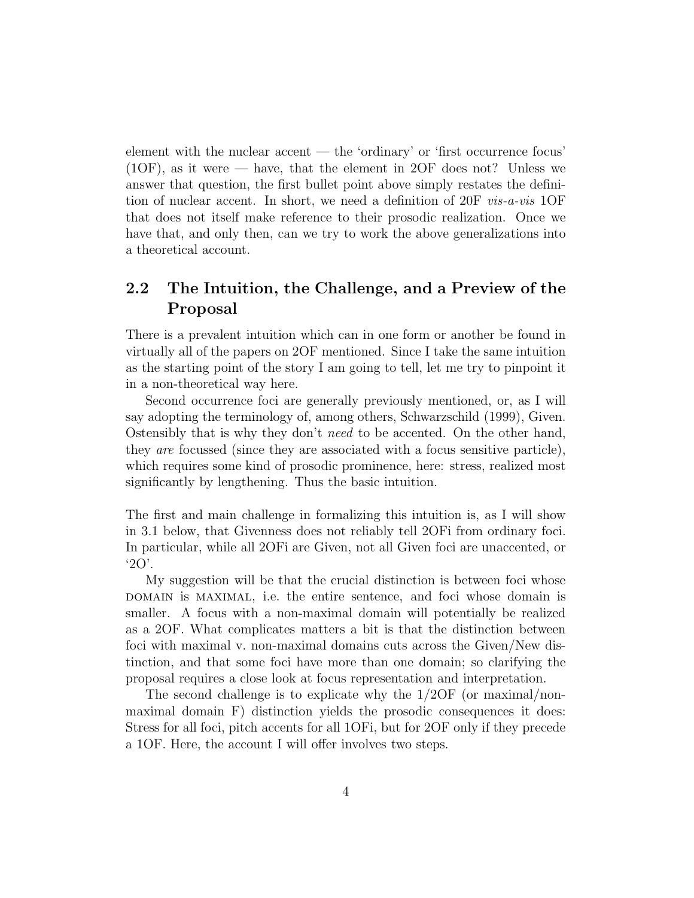element with the nuclear accent — the 'ordinary' or 'first occurrence focus'  $(1OF)$ , as it were — have, that the element in 2OF does not? Unless we answer that question, the first bullet point above simply restates the definition of nuclear accent. In short, we need a definition of 20F vis-a-vis 1OF that does not itself make reference to their prosodic realization. Once we have that, and only then, can we try to work the above generalizations into a theoretical account.

### 2.2 The Intuition, the Challenge, and a Preview of the Proposal

There is a prevalent intuition which can in one form or another be found in virtually all of the papers on 2OF mentioned. Since I take the same intuition as the starting point of the story I am going to tell, let me try to pinpoint it in a non-theoretical way here.

Second occurrence foci are generally previously mentioned, or, as I will say adopting the terminology of, among others, Schwarzschild (1999), Given. Ostensibly that is why they don't need to be accented. On the other hand, they are focussed (since they are associated with a focus sensitive particle), which requires some kind of prosodic prominence, here: stress, realized most significantly by lengthening. Thus the basic intuition.

The first and main challenge in formalizing this intuition is, as I will show in 3.1 below, that Givenness does not reliably tell 2OFi from ordinary foci. In particular, while all 2OFi are Given, not all Given foci are unaccented, or '2O'.

My suggestion will be that the crucial distinction is between foci whose domain is maximal, i.e. the entire sentence, and foci whose domain is smaller. A focus with a non-maximal domain will potentially be realized as a 2OF. What complicates matters a bit is that the distinction between foci with maximal v. non-maximal domains cuts across the Given/New distinction, and that some foci have more than one domain; so clarifying the proposal requires a close look at focus representation and interpretation.

The second challenge is to explicate why the 1/2OF (or maximal/nonmaximal domain F) distinction yields the prosodic consequences it does: Stress for all foci, pitch accents for all 1OFi, but for 2OF only if they precede a 1OF. Here, the account I will offer involves two steps.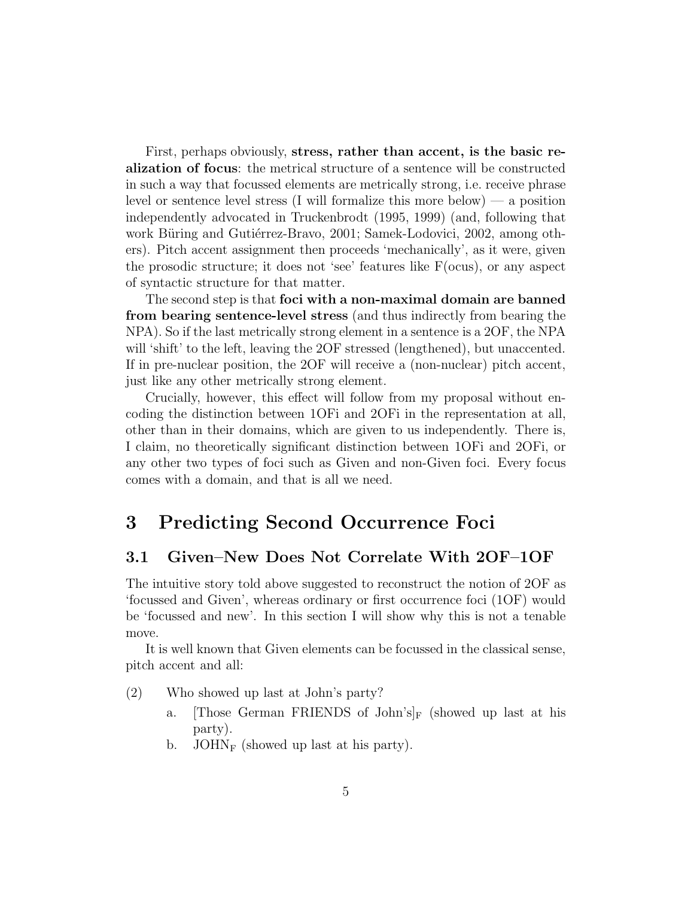First, perhaps obviously, stress, rather than accent, is the basic realization of focus: the metrical structure of a sentence will be constructed in such a way that focussed elements are metrically strong, i.e. receive phrase level or sentence level stress (I will formalize this more below) — a position independently advocated in Truckenbrodt (1995, 1999) (and, following that work Büring and Gutiérrez-Bravo, 2001; Samek-Lodovici, 2002, among others). Pitch accent assignment then proceeds 'mechanically', as it were, given the prosodic structure; it does not 'see' features like  $F(ocus)$ , or any aspect of syntactic structure for that matter.

The second step is that foci with a non-maximal domain are banned from bearing sentence-level stress (and thus indirectly from bearing the NPA). So if the last metrically strong element in a sentence is a 2OF, the NPA will 'shift' to the left, leaving the 2OF stressed (lengthened), but unaccented. If in pre-nuclear position, the 2OF will receive a (non-nuclear) pitch accent, just like any other metrically strong element.

Crucially, however, this effect will follow from my proposal without encoding the distinction between 1OFi and 2OFi in the representation at all, other than in their domains, which are given to us independently. There is, I claim, no theoretically significant distinction between 1OFi and 2OFi, or any other two types of foci such as Given and non-Given foci. Every focus comes with a domain, and that is all we need.

# 3 Predicting Second Occurrence Foci

#### 3.1 Given–New Does Not Correlate With 2OF–1OF

The intuitive story told above suggested to reconstruct the notion of 2OF as 'focussed and Given', whereas ordinary or first occurrence foci (1OF) would be 'focussed and new'. In this section I will show why this is not a tenable move.

It is well known that Given elements can be focussed in the classical sense, pitch accent and all:

(2) Who showed up last at John's party?

- a. Those German FRIENDS of John's  $\vert_F$  (showed up last at his party).
- b. JOHN<sub>F</sub> (showed up last at his party).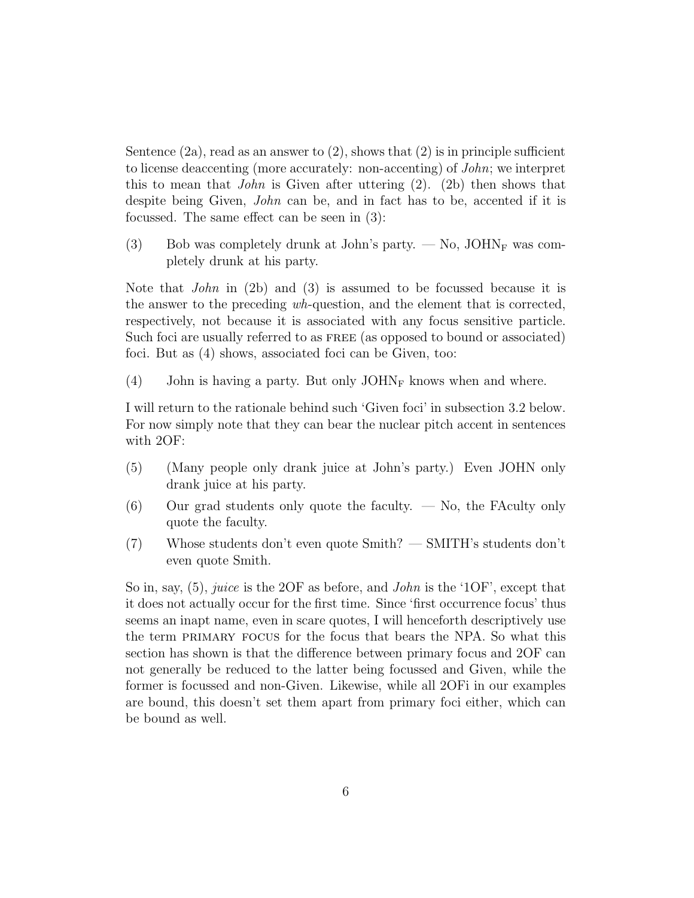Sentence  $(2a)$ , read as an answer to  $(2)$ , shows that  $(2)$  is in principle sufficient to license deaccenting (more accurately: non-accenting) of John; we interpret this to mean that *John* is Given after uttering  $(2)$ .  $(2b)$  then shows that despite being Given, John can be, and in fact has to be, accented if it is focussed. The same effect can be seen in (3):

(3) Bob was completely drunk at John's party.  $-$  No, JOHN<sub>F</sub> was completely drunk at his party.

Note that John in (2b) and (3) is assumed to be focussed because it is the answer to the preceding wh-question, and the element that is corrected, respectively, not because it is associated with any focus sensitive particle. Such foci are usually referred to as FREE (as opposed to bound or associated) foci. But as (4) shows, associated foci can be Given, too:

(4) John is having a party. But only  $JOHN_F$  knows when and where.

I will return to the rationale behind such 'Given foci' in subsection 3.2 below. For now simply note that they can bear the nuclear pitch accent in sentences with 2OF:

- (5) (Many people only drank juice at John's party.) Even JOHN only drank juice at his party.
- $(6)$  Our grad students only quote the faculty.  $\sim$  No, the FAculty only quote the faculty.
- (7) Whose students don't even quote Smith? SMITH's students don't even quote Smith.

So in, say,  $(5)$ , juice is the 2OF as before, and *John* is the '1OF', except that it does not actually occur for the first time. Since 'first occurrence focus' thus seems an inapt name, even in scare quotes, I will henceforth descriptively use the term primary focus for the focus that bears the NPA. So what this section has shown is that the difference between primary focus and 2OF can not generally be reduced to the latter being focussed and Given, while the former is focussed and non-Given. Likewise, while all 2OFi in our examples are bound, this doesn't set them apart from primary foci either, which can be bound as well.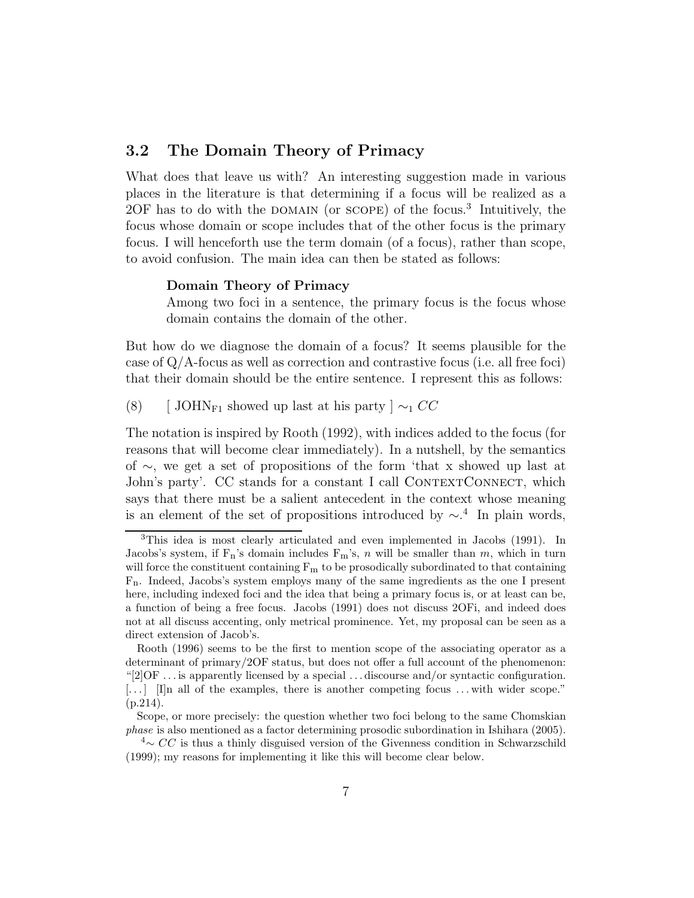#### 3.2 The Domain Theory of Primacy

What does that leave us with? An interesting suggestion made in various places in the literature is that determining if a focus will be realized as a 2OF has to do with the DOMAIN (or SCOPE) of the focus.<sup>3</sup> Intuitively, the focus whose domain or scope includes that of the other focus is the primary focus. I will henceforth use the term domain (of a focus), rather than scope, to avoid confusion. The main idea can then be stated as follows:

#### Domain Theory of Primacy

Among two foci in a sentence, the primary focus is the focus whose domain contains the domain of the other.

But how do we diagnose the domain of a focus? It seems plausible for the case of Q/A-focus as well as correction and contrastive focus (i.e. all free foci) that their domain should be the entire sentence. I represent this as follows:

(8) [ JOHN<sub>F1</sub> showed up last at his party  $\vert \sim_1 CC$ 

The notation is inspired by Rooth (1992), with indices added to the focus (for reasons that will become clear immediately). In a nutshell, by the semantics of ∼, we get a set of propositions of the form 'that x showed up last at John's party'. CC stands for a constant I call CONTEXTCONNECT, which says that there must be a salient antecedent in the context whose meaning is an element of the set of propositions introduced by  $\sim$ .<sup>4</sup> In plain words,

<sup>3</sup>This idea is most clearly articulated and even implemented in Jacobs (1991). In Jacobs's system, if  $F_n$ 's domain includes  $F_m$ 's, n will be smaller than m, which in turn will force the constituent containing  $F_m$  to be prosodically subordinated to that containing Fn. Indeed, Jacobs's system employs many of the same ingredients as the one I present here, including indexed foci and the idea that being a primary focus is, or at least can be, a function of being a free focus. Jacobs (1991) does not discuss 2OFi, and indeed does not at all discuss accenting, only metrical prominence. Yet, my proposal can be seen as a direct extension of Jacob's.

Rooth (1996) seems to be the first to mention scope of the associating operator as a determinant of primary/2OF status, but does not offer a full account of the phenomenon: "[2]OF . . . is apparently licensed by a special . . . discourse and/or syntactic configuration.  $\lceil \ldots \rceil$  [I]n all of the examples, there is another competing focus ... with wider scope." (p.214).

Scope, or more precisely: the question whether two foci belong to the same Chomskian phase is also mentioned as a factor determining prosodic subordination in Ishihara (2005).

 $\alpha^4$ ∼ CC is thus a thinly disguised version of the Givenness condition in Schwarzschild (1999); my reasons for implementing it like this will become clear below.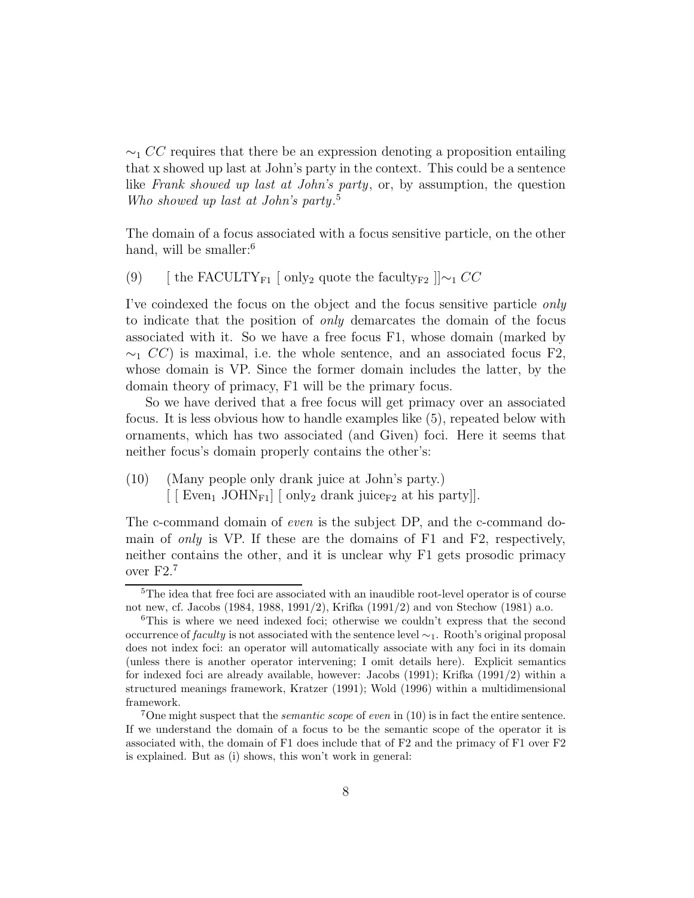$\sim$ <sub>1</sub> CC requires that there be an expression denoting a proposition entailing that x showed up last at John's party in the context. This could be a sentence like Frank showed up last at John's party, or, by assumption, the question Who showed up last at John's party. 5

The domain of a focus associated with a focus sensitive particle, on the other hand, will be smaller:<sup>6</sup>

(9) [ the FACULTY<sub>F1</sub> [ only<sub>2</sub> quote the faculty<sub>F2</sub>  $\vert \vert \sim_1 CC$ 

I've coindexed the focus on the object and the focus sensitive particle only to indicate that the position of only demarcates the domain of the focus associated with it. So we have a free focus F1, whose domain (marked by  $\sim_1 CC$ ) is maximal, i.e. the whole sentence, and an associated focus F2, whose domain is VP. Since the former domain includes the latter, by the domain theory of primacy, F1 will be the primary focus.

So we have derived that a free focus will get primacy over an associated focus. It is less obvious how to handle examples like (5), repeated below with ornaments, which has two associated (and Given) foci. Here it seems that neither focus's domain properly contains the other's:

(10) (Many people only drank juice at John's party.)  $\left[ \begin{array}{ccc} \text{Even}_1 & \text{JOHN}_{F1} \end{array} \right]$  only<sub>2</sub> drank juice<sub>F2</sub> at his party].

The c-command domain of even is the subject DP, and the c-command domain of *only* is VP. If these are the domains of  $F1$  and  $F2$ , respectively, neither contains the other, and it is unclear why F1 gets prosodic primacy over F2.<sup>7</sup>

<sup>&</sup>lt;sup>5</sup>The idea that free foci are associated with an inaudible root-level operator is of course not new, cf. Jacobs (1984, 1988, 1991/2), Krifka (1991/2) and von Stechow (1981) a.o.

<sup>6</sup>This is where we need indexed foci; otherwise we couldn't express that the second occurrence of faculty is not associated with the sentence level ∼1. Rooth's original proposal does not index foci: an operator will automatically associate with any foci in its domain (unless there is another operator intervening; I omit details here). Explicit semantics for indexed foci are already available, however: Jacobs (1991); Krifka (1991/2) within a structured meanings framework, Kratzer (1991); Wold (1996) within a multidimensional framework.

<sup>&</sup>lt;sup>7</sup>One might suspect that the *semantic scope* of *even* in  $(10)$  is in fact the entire sentence. If we understand the domain of a focus to be the semantic scope of the operator it is associated with, the domain of F1 does include that of F2 and the primacy of F1 over F2 is explained. But as (i) shows, this won't work in general: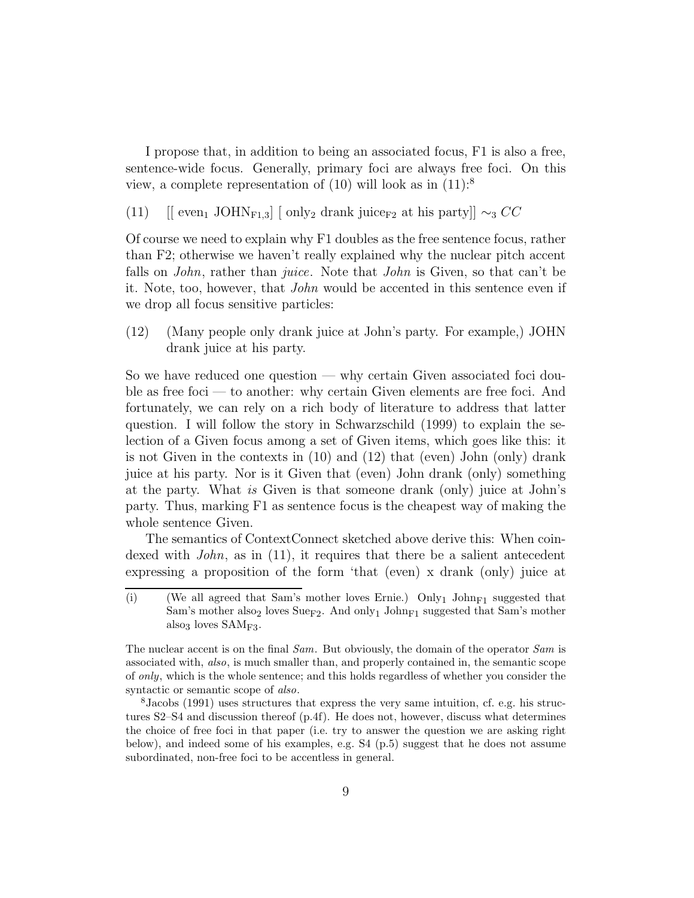I propose that, in addition to being an associated focus, F1 is also a free, sentence-wide focus. Generally, primary foci are always free foci. On this view, a complete representation of  $(10)$  will look as in  $(11)$ :<sup>8</sup>

(11)  $\left[ \begin{array}{cc} \text{[even]} & \text{JOHN}_{F1,3} \end{array} \right]$  [ only<sub>2</sub> drank juice<sub>F2</sub> at his party]]  $\sim_3 CC$ 

Of course we need to explain why F1 doubles as the free sentence focus, rather than F2; otherwise we haven't really explained why the nuclear pitch accent falls on *John*, rather than *juice*. Note that *John* is Given, so that can't be it. Note, too, however, that John would be accented in this sentence even if we drop all focus sensitive particles:

(12) (Many people only drank juice at John's party. For example,) JOHN drank juice at his party.

So we have reduced one question — why certain Given associated foci double as free foci — to another: why certain Given elements are free foci. And fortunately, we can rely on a rich body of literature to address that latter question. I will follow the story in Schwarzschild (1999) to explain the selection of a Given focus among a set of Given items, which goes like this: it is not Given in the contexts in (10) and (12) that (even) John (only) drank juice at his party. Nor is it Given that (even) John drank (only) something at the party. What is Given is that someone drank (only) juice at John's party. Thus, marking F1 as sentence focus is the cheapest way of making the whole sentence Given.

The semantics of ContextConnect sketched above derive this: When coindexed with  $John$ , as in (11), it requires that there be a salient antecedent expressing a proposition of the form 'that (even) x drank (only) juice at

<sup>(</sup>i) (We all agreed that Sam's mother loves Ernie.) Only<sub>1</sub> John<sub>F1</sub> suggested that Sam's mother also<sub>2</sub> loves Sue<sub>F2</sub>. And only<sub>1</sub> John<sub>F1</sub> suggested that Sam's mother also<sub>3</sub> loves  $SAM<sub>F3</sub>$ .

The nuclear accent is on the final Sam. But obviously, the domain of the operator Sam is associated with, also, is much smaller than, and properly contained in, the semantic scope of only, which is the whole sentence; and this holds regardless of whether you consider the syntactic or semantic scope of also.

<sup>8</sup>Jacobs (1991) uses structures that express the very same intuition, cf. e.g. his structures S2–S4 and discussion thereof (p.4f). He does not, however, discuss what determines the choice of free foci in that paper (i.e. try to answer the question we are asking right below), and indeed some of his examples, e.g. S4 (p.5) suggest that he does not assume subordinated, non-free foci to be accentless in general.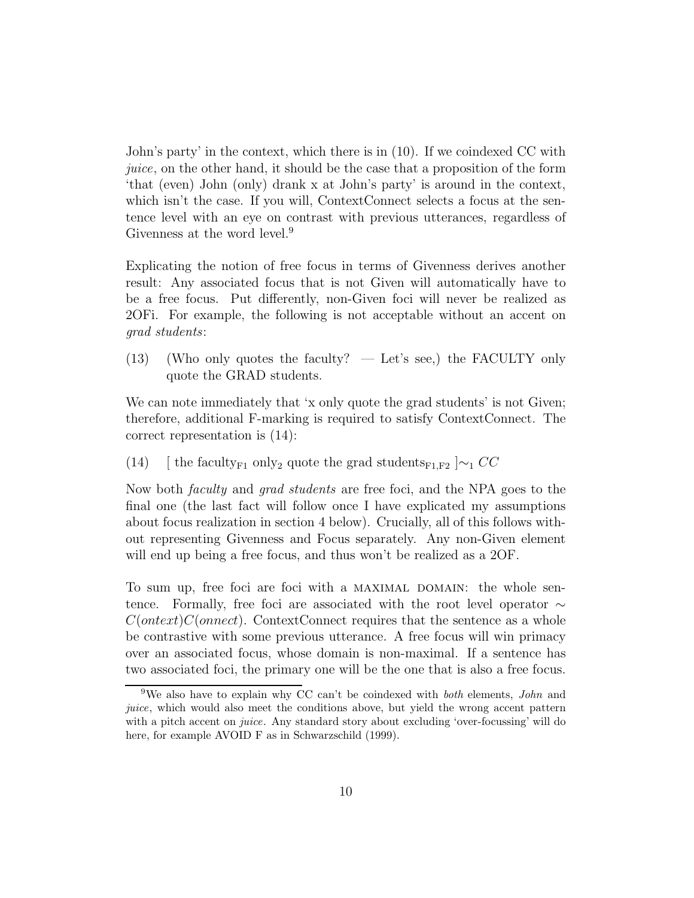John's party' in the context, which there is in (10). If we coindexed CC with juice, on the other hand, it should be the case that a proposition of the form 'that (even) John (only) drank x at John's party' is around in the context, which isn't the case. If you will, ContextConnect selects a focus at the sentence level with an eye on contrast with previous utterances, regardless of Givenness at the word level.<sup>9</sup>

Explicating the notion of free focus in terms of Givenness derives another result: Any associated focus that is not Given will automatically have to be a free focus. Put differently, non-Given foci will never be realized as 2OFi. For example, the following is not acceptable without an accent on grad students:

 $(13)$  (Who only quotes the faculty? — Let's see,) the FACULTY only quote the GRAD students.

We can note immediately that 'x only quote the grad students' is not Given; therefore, additional F-marking is required to satisfy ContextConnect. The correct representation is (14):

(14) [ the faculty<sub>F1</sub> only<sub>2</sub> quote the grad students<sub>F1,F2</sub>  $\sim$ <sub>1</sub> CC</sub>

Now both faculty and grad students are free foci, and the NPA goes to the final one (the last fact will follow once I have explicated my assumptions about focus realization in section 4 below). Crucially, all of this follows without representing Givenness and Focus separately. Any non-Given element will end up being a free focus, and thus won't be realized as a 2OF.

To sum up, free foci are foci with a MAXIMAL DOMAIN: the whole sentence. Formally, free foci are associated with the root level operator ∼  $C(on text)C(onnect)$ . ContextConnect requires that the sentence as a whole be contrastive with some previous utterance. A free focus will win primacy over an associated focus, whose domain is non-maximal. If a sentence has two associated foci, the primary one will be the one that is also a free focus.

<sup>&</sup>lt;sup>9</sup>We also have to explain why CC can't be coindexed with *both* elements, *John* and juice, which would also meet the conditions above, but yield the wrong accent pattern with a pitch accent on *juice*. Any standard story about excluding 'over-focussing' will do here, for example AVOID F as in Schwarzschild (1999).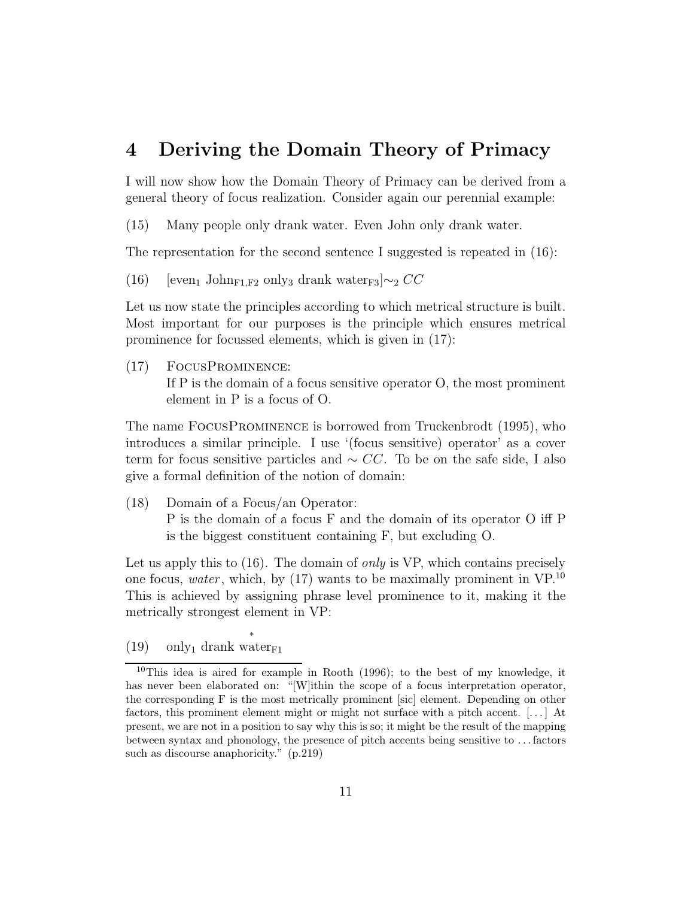# 4 Deriving the Domain Theory of Primacy

I will now show how the Domain Theory of Primacy can be derived from a general theory of focus realization. Consider again our perennial example:

(15) Many people only drank water. Even John only drank water.

The representation for the second sentence I suggested is repeated in (16):

(16) [even<sub>1</sub> John<sub>F1,F2</sub> only<sub>3</sub> drank water<sub>F3</sub>] $\sim_2 CC$ 

Let us now state the principles according to which metrical structure is built. Most important for our purposes is the principle which ensures metrical prominence for focussed elements, which is given in (17):

(17) FocusProminence: If P is the domain of a focus sensitive operator O, the most prominent element in P is a focus of O.

The name FocusProminence is borrowed from Truckenbrodt (1995), who introduces a similar principle. I use '(focus sensitive) operator' as a cover term for focus sensitive particles and  $\sim CC$ . To be on the safe side, I also give a formal definition of the notion of domain:

(18) Domain of a Focus/an Operator: P is the domain of a focus F and the domain of its operator O iff P is the biggest constituent containing F, but excluding O.

Let us apply this to  $(16)$ . The domain of *only* is VP, which contains precisely one focus, water, which, by  $(17)$  wants to be maximally prominent in VP.<sup>10</sup> This is achieved by assigning phrase level prominence to it, making it the metrically strongest element in VP:

(19) only<sub>1</sub> drank water<sub>F1</sub>

 $10$ This idea is aired for example in Rooth (1996); to the best of my knowledge, it has never been elaborated on: "[W]ithin the scope of a focus interpretation operator, the corresponding F is the most metrically prominent [sic] element. Depending on other factors, this prominent element might or might not surface with a pitch accent. [. . . ] At present, we are not in a position to say why this is so; it might be the result of the mapping between syntax and phonology, the presence of pitch accents being sensitive to . . . factors such as discourse anaphoricity." (p.219)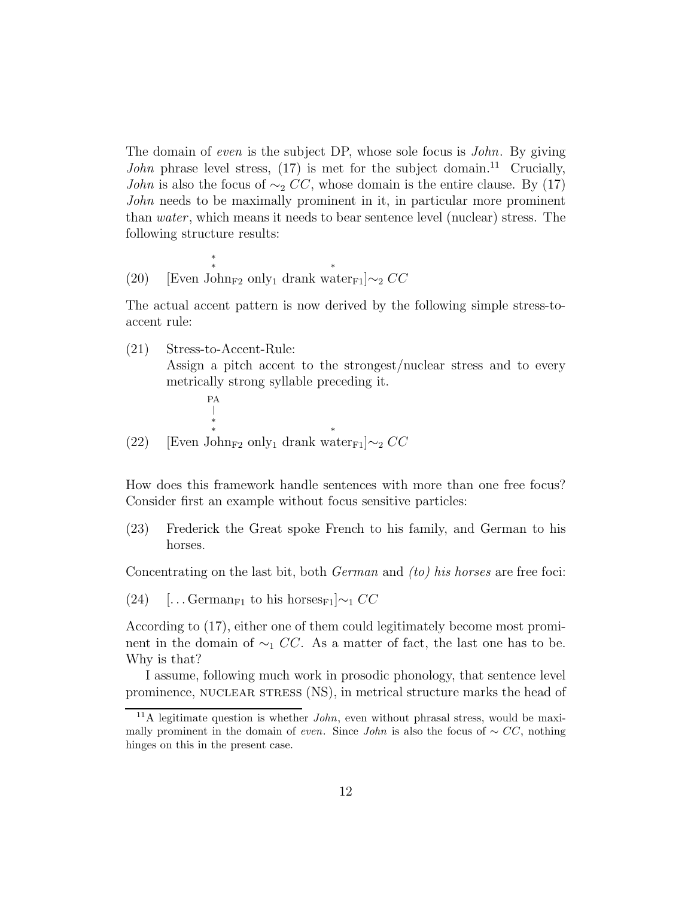The domain of even is the subject DP, whose sole focus is *John*. By giving John phrase level stress,  $(17)$  is met for the subject domain.<sup>11</sup> Crucially, *John* is also the focus of  $\sim_2 CC$ , whose domain is the entire clause. By (17) John needs to be maximally prominent in it, in particular more prominent than *water*, which means it needs to bear sentence level (nuclear) stress. The following structure results:

(20) [Even J  $\sum_{n=1}^{\infty}$  only<sub>1</sub> drank water<sub>F1</sub>]∼<sub>2</sub> CC

The actual accent pattern is now derived by the following simple stress-toaccent rule:

(21) Stress-to-Accent-Rule:

\*

Assign a pitch accent to the strongest/nuclear stress and to every metrically strong syllable preceding it.

(22) [Even John<sub>F2</sub> only<sub>1</sub> drank water<sub>F1</sub>]∼<sub>2</sub>  $CC$ PA \*

How does this framework handle sentences with more than one free focus? Consider first an example without focus sensitive particles:

(23) Frederick the Great spoke French to his family, and German to his horses.

Concentrating on the last bit, both German and (to) his horses are free foci:

(24) [... German<sub>F1</sub> to his horses<sub>F1</sub>] $\sim_1 CC$ 

According to (17), either one of them could legitimately become most prominent in the domain of  $\sim_1 CC$ . As a matter of fact, the last one has to be. Why is that?

I assume, following much work in prosodic phonology, that sentence level prominence, NUCLEAR STRESS (NS), in metrical structure marks the head of

<sup>&</sup>lt;sup>11</sup>A legitimate question is whether  $John$ , even without phrasal stress, would be maximally prominent in the domain of *even*. Since *John* is also the focus of ∼  $CC$ , nothing hinges on this in the present case.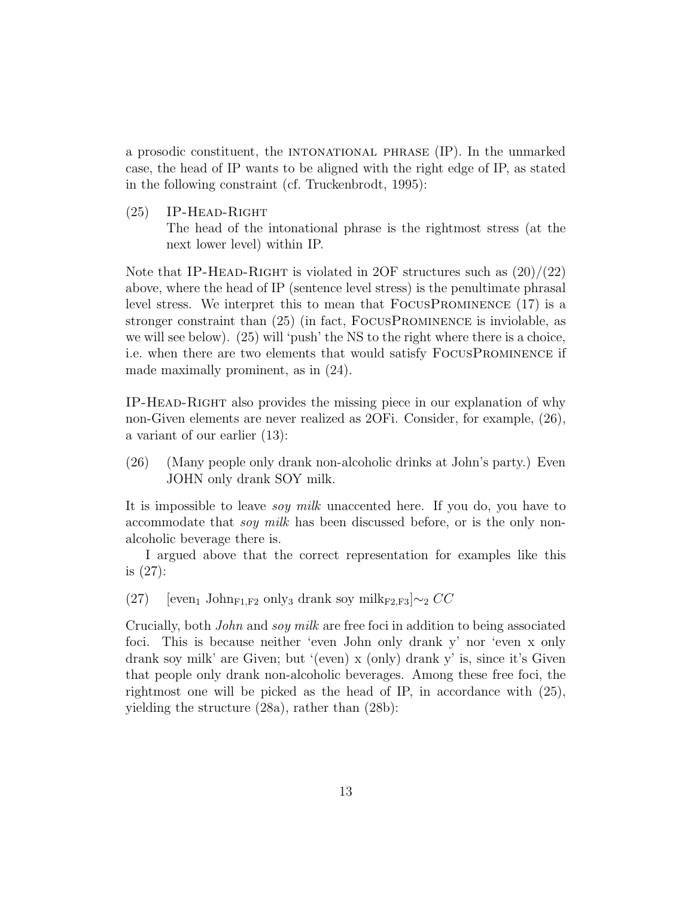a prosodic constituent, the intonational phrase (IP). In the unmarked case, the head of IP wants to be aligned with the right edge of IP, as stated in the following constraint (cf. Truckenbrodt, 1995):

 $(25)$  IP-HEAD-RIGHT

The head of the intonational phrase is the rightmost stress (at the next lower level) within IP.

Note that IP-HEAD-RIGHT is violated in 2OF structures such as  $(20)/(22)$ above, where the head of IP (sentence level stress) is the penultimate phrasal level stress. We interpret this to mean that FocusProminence (17) is a stronger constraint than (25) (in fact, FocusProminence is inviolable, as we will see below). (25) will 'push' the NS to the right where there is a choice, i.e. when there are two elements that would satisfy FocusProminence if made maximally prominent, as in (24).

IP-Head-Right also provides the missing piece in our explanation of why non-Given elements are never realized as 2OFi. Consider, for example, (26), a variant of our earlier (13):

(26) (Many people only drank non-alcoholic drinks at John's party.) Even JOHN only drank SOY milk.

It is impossible to leave soy milk unaccented here. If you do, you have to accommodate that *soy milk* has been discussed before, or is the only nonalcoholic beverage there is.

I argued above that the correct representation for examples like this is (27):

(27) [even<sub>1</sub> John<sub>F1,F2</sub> only<sub>3</sub> drank soy mil $k_{F2,F3}$ ]∼<sub>2</sub> CC

Crucially, both John and soy milk are free foci in addition to being associated foci. This is because neither 'even John only drank y' nor 'even x only drank soy milk' are Given; but '(even) x (only) drank y' is, since it's Given that people only drank non-alcoholic beverages. Among these free foci, the rightmost one will be picked as the head of IP, in accordance with (25), yielding the structure (28a), rather than (28b):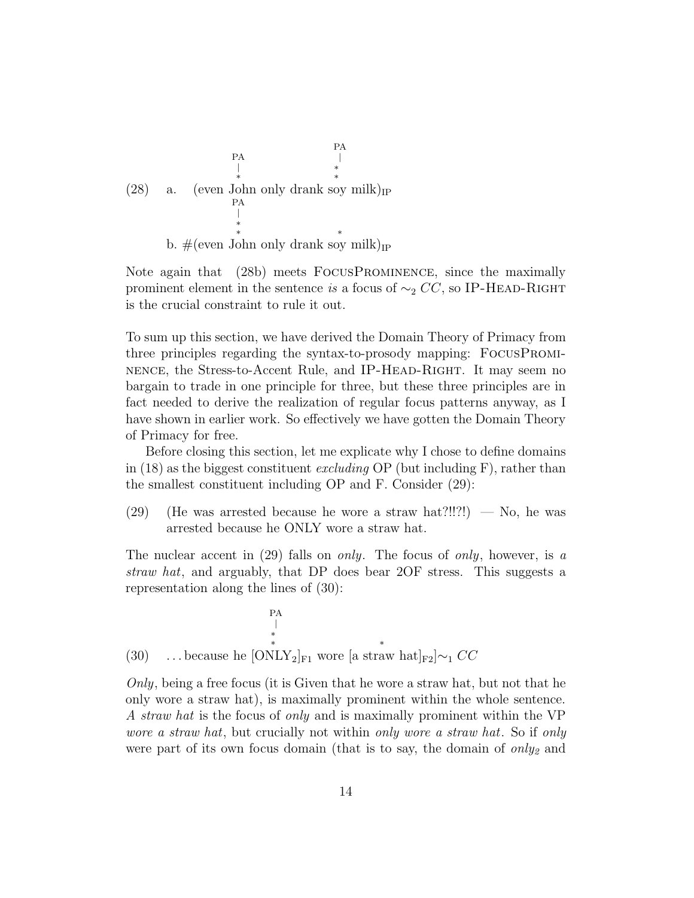

b.  $\#(\text{even John only Frank soy milk})_{IP}$ 

Note again that (28b) meets FocusProminence, since the maximally prominent element in the sentence is a focus of  $\sim_2 CC$ , so IP-HEAD-RIGHT is the crucial constraint to rule it out.

To sum up this section, we have derived the Domain Theory of Primacy from three principles regarding the syntax-to-prosody mapping: FocusProminence, the Stress-to-Accent Rule, and IP-Head-Right. It may seem no bargain to trade in one principle for three, but these three principles are in fact needed to derive the realization of regular focus patterns anyway, as I have shown in earlier work. So effectively we have gotten the Domain Theory of Primacy for free.

Before closing this section, let me explicate why I chose to define domains in (18) as the biggest constituent excluding OP (but including F), rather than the smallest constituent including OP and F. Consider (29):

(29) (He was arrested because he wore a straw hat?!!?!) — No, he was arrested because he ONLY wore a straw hat.

The nuclear accent in  $(29)$  falls on *only*. The focus of *only*, however, is a straw hat, and arguably, that DP does bear 2OF stress. This suggests a representation along the lines of (30):

(30) ... because he [ONLY<sub>2</sub>]<sub>F1</sub> wore [a straw hat]<sub>F2</sub>]
$$
\sim
$$
<sub>1</sub> CC

 $Only, being a free focus (it is Given that he wore a straw hat, but not that he$ only wore a straw hat), is maximally prominent within the whole sentence. A straw hat is the focus of only and is maximally prominent within the VP wore a straw hat, but crucially not within only wore a straw hat. So if only were part of its own focus domain (that is to say, the domain of  $only_2$  and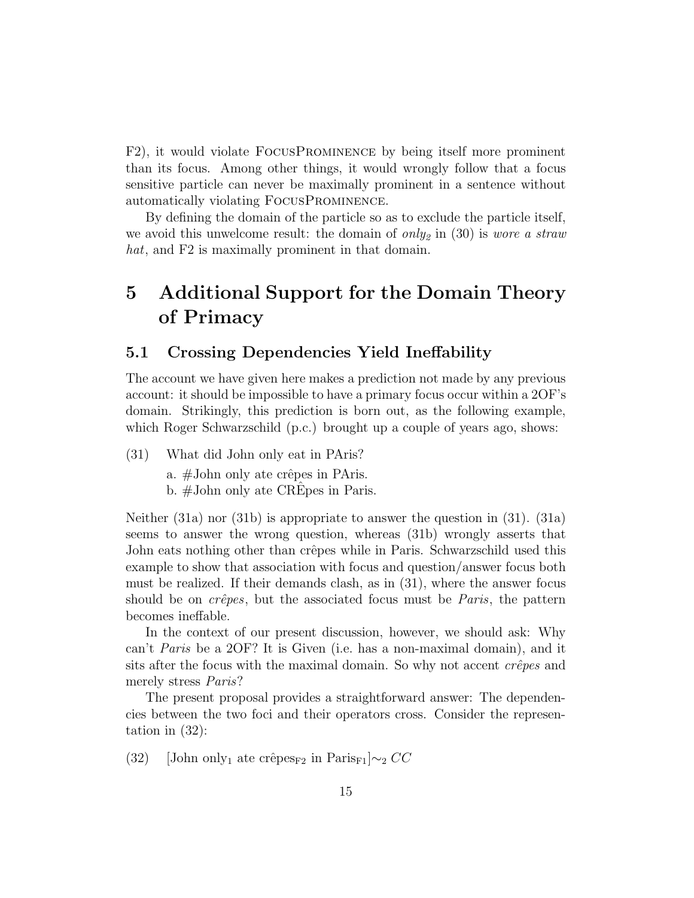F2), it would violate FocusProminence by being itself more prominent than its focus. Among other things, it would wrongly follow that a focus sensitive particle can never be maximally prominent in a sentence without automatically violating FocusProminence.

By defining the domain of the particle so as to exclude the particle itself, we avoid this unwelcome result: the domain of only<sub>2</sub> in (30) is wore a straw hat, and F2 is maximally prominent in that domain.

# 5 Additional Support for the Domain Theory of Primacy

#### 5.1 Crossing Dependencies Yield Ineffability

The account we have given here makes a prediction not made by any previous account: it should be impossible to have a primary focus occur within a 2OF's domain. Strikingly, this prediction is born out, as the following example, which Roger Schwarzschild (p.c.) brought up a couple of years ago, shows:

(31) What did John only eat in PAris? a.  $\#$ John only ate crêpes in PAris.

b.  $\#$ John only ate CREpes in Paris.

Neither (31a) nor (31b) is appropriate to answer the question in (31). (31a) seems to answer the wrong question, whereas (31b) wrongly asserts that John eats nothing other than crêpes while in Paris. Schwarzschild used this example to show that association with focus and question/answer focus both must be realized. If their demands clash, as in (31), where the answer focus should be on  $cr\hat{e}pes$ , but the associated focus must be *Paris*, the pattern becomes ineffable.

In the context of our present discussion, however, we should ask: Why can't Paris be a 2OF? It is Given (i.e. has a non-maximal domain), and it sits after the focus with the maximal domain. So why not accent  $c\hat{re}\rho es$  and merely stress Paris?

The present proposal provides a straightforward answer: The dependencies between the two foci and their operators cross. Consider the representation in (32):

(32) [John only<sub>1</sub> ate crêpes<sub>F2</sub> in Paris<sub>F1</sub> $\sim$ <sub>2</sub> CC</sub>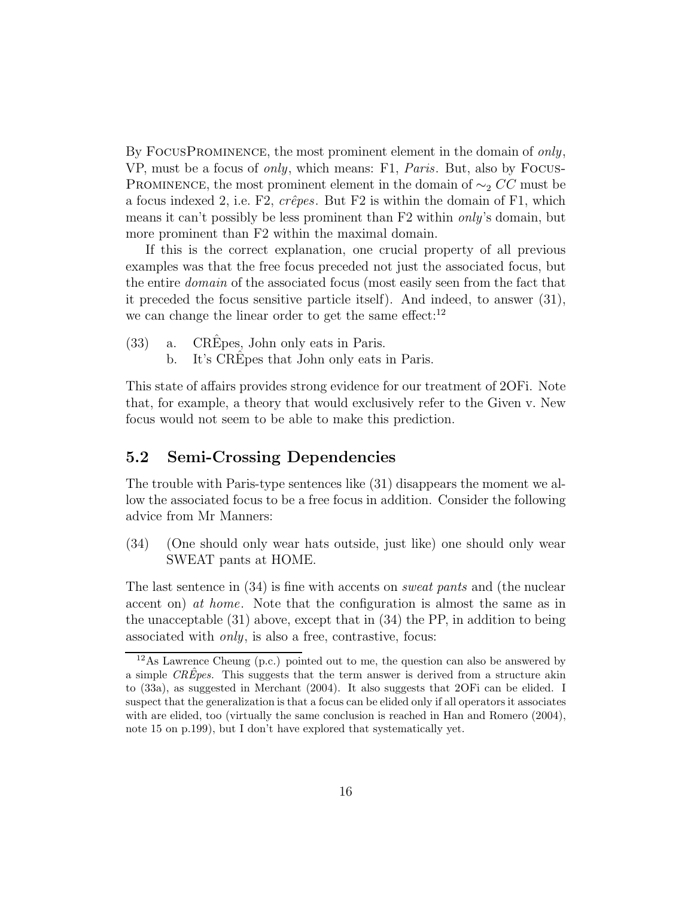By FOCUSPROMINENCE, the most prominent element in the domain of only, VP, must be a focus of only, which means: F1, Paris. But, also by Focus-PROMINENCE, the most prominent element in the domain of  $\sim_2 CC$  must be a focus indexed 2, i.e. F2,  $cr\hat{e}pes$ . But F2 is within the domain of F1, which means it can't possibly be less prominent than F2 within only's domain, but more prominent than F2 within the maximal domain.

If this is the correct explanation, one crucial property of all previous examples was that the free focus preceded not just the associated focus, but the entire domain of the associated focus (most easily seen from the fact that it preceded the focus sensitive particle itself). And indeed, to answer (31), we can change the linear order to get the same effect: $12$ 

- $(33)$  a. CREpes, John only eats in Paris.
	- b. It's CREpes that John only eats in Paris.

This state of affairs provides strong evidence for our treatment of 2OFi. Note that, for example, a theory that would exclusively refer to the Given v. New focus would not seem to be able to make this prediction.

#### 5.2 Semi-Crossing Dependencies

The trouble with Paris-type sentences like (31) disappears the moment we allow the associated focus to be a free focus in addition. Consider the following advice from Mr Manners:

(34) (One should only wear hats outside, just like) one should only wear SWEAT pants at HOME.

The last sentence in (34) is fine with accents on *sweat pants* and (the nuclear accent on) at home. Note that the configuration is almost the same as in the unacceptable (31) above, except that in (34) the PP, in addition to being associated with only, is also a free, contrastive, focus:

<sup>12</sup>As Lawrence Cheung (p.c.) pointed out to me, the question can also be answered by a simple  $CR\hat{E}pes$ . This suggests that the term answer is derived from a structure akin to (33a), as suggested in Merchant (2004). It also suggests that 2OFi can be elided. I suspect that the generalization is that a focus can be elided only if all operators it associates with are elided, too (virtually the same conclusion is reached in Han and Romero (2004), note 15 on p.199), but I don't have explored that systematically yet.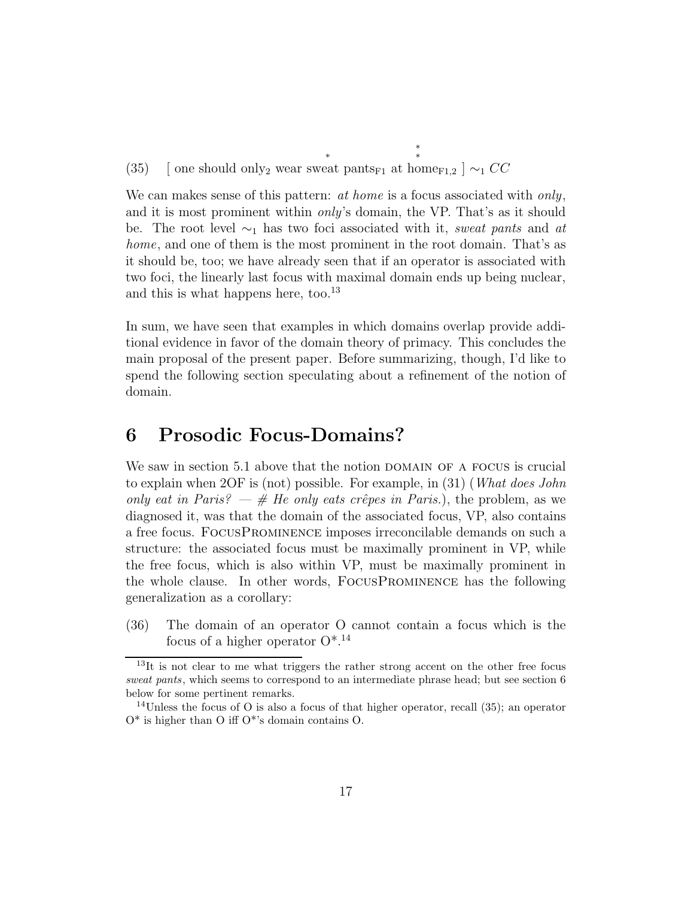(35) [ one should only<sub>2</sub> wear sweat pants<sub>F1</sub> at home<sub>F1,2</sub> ]  $\sim_1 CC$ 

We can make sense of this pattern:  $at home$  is a focus associated with only, and it is most prominent within only's domain, the VP. That's as it should be. The root level  $\sim_1$  has two foci associated with it, sweat pants and at home, and one of them is the most prominent in the root domain. That's as it should be, too; we have already seen that if an operator is associated with two foci, the linearly last focus with maximal domain ends up being nuclear, and this is what happens here, too.<sup>13</sup>

\*

In sum, we have seen that examples in which domains overlap provide additional evidence in favor of the domain theory of primacy. This concludes the main proposal of the present paper. Before summarizing, though, I'd like to spend the following section speculating about a refinement of the notion of domain.

# 6 Prosodic Focus-Domains?

We saw in section 5.1 above that the notion DOMAIN OF A FOCUS is crucial to explain when 2OF is (not) possible. For example, in (31) (What does John only eat in Paris? — # He only eats crêpes in Paris.), the problem, as we diagnosed it, was that the domain of the associated focus, VP, also contains a free focus. FocusProminence imposes irreconcilable demands on such a structure: the associated focus must be maximally prominent in VP, while the free focus, which is also within VP, must be maximally prominent in the whole clause. In other words, FocusProminence has the following generalization as a corollary:

(36) The domain of an operator O cannot contain a focus which is the focus of a higher operator O\*.<sup>14</sup>

<sup>&</sup>lt;sup>13</sup>It is not clear to me what triggers the rather strong accent on the other free focus sweat pants, which seems to correspond to an intermediate phrase head; but see section 6 below for some pertinent remarks.

<sup>14</sup>Unless the focus of O is also a focus of that higher operator, recall (35); an operator  $O^*$  is higher than O iff  $O^*$ 's domain contains O.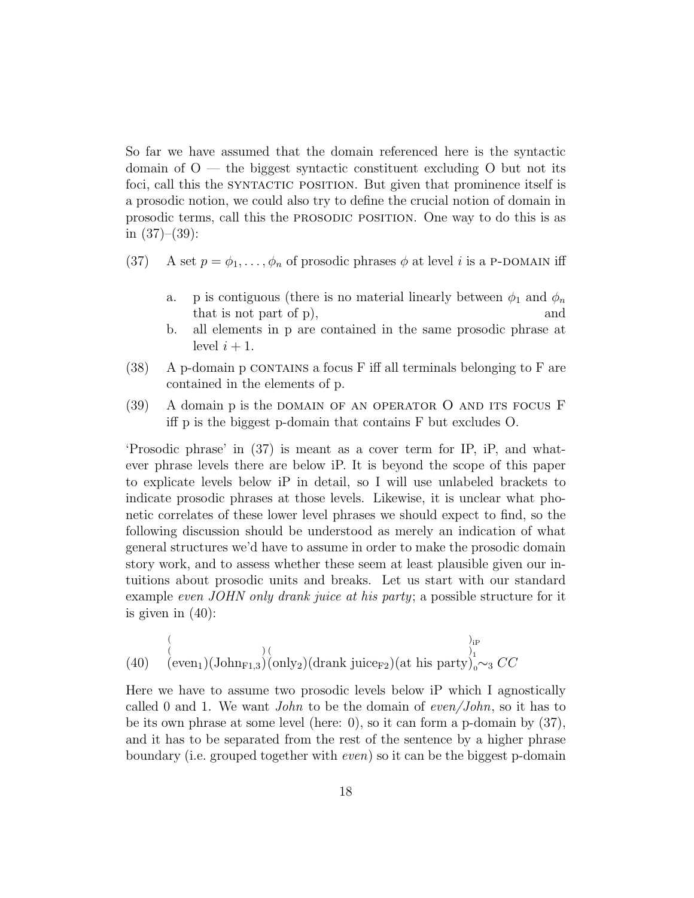So far we have assumed that the domain referenced here is the syntactic domain of  $O$  — the biggest syntactic constituent excluding  $O$  but not its foci, call this the SYNTACTIC POSITION. But given that prominence itself is a prosodic notion, we could also try to define the crucial notion of domain in prosodic terms, call this the prosodic position. One way to do this is as in  $(37)–(39)$ :

- (37) A set  $p = \phi_1, \ldots, \phi_n$  of prosodic phrases  $\phi$  at level i is a P-DOMAIN iff
	- a. p is contiguous (there is no material linearly between  $\phi_1$  and  $\phi_n$ that is not part of p), and
	- b. all elements in p are contained in the same prosodic phrase at level  $i + 1$ .
- $(38)$  A p-domain p CONTAINS a focus F iff all terminals belonging to F are contained in the elements of p.
- (39) A domain p is the domain of an operator O and its focus F iff p is the biggest p-domain that contains F but excludes O.

'Prosodic phrase' in (37) is meant as a cover term for IP, iP, and whatever phrase levels there are below iP. It is beyond the scope of this paper to explicate levels below iP in detail, so I will use unlabeled brackets to indicate prosodic phrases at those levels. Likewise, it is unclear what phonetic correlates of these lower level phrases we should expect to find, so the following discussion should be understood as merely an indication of what general structures we'd have to assume in order to make the prosodic domain story work, and to assess whether these seem at least plausible given our intuitions about prosodic units and breaks. Let us start with our standard example *even JOHN only drank juice at his party*; a possible structure for it is given in  $(40)$ :

(40) 
$$
\overset{\underset{(1,1)}{\left(\text{even}_1\right)}\left(\text{ohn}_{F1,3}\right)\left(\text{only}_2\right)}{\underset{(1,1)}{\left(\text{even}_1\right)}\left(\text{John}_{F1,3}\right)\left(\text{only}_2\right)}\left(\text{drank juice}_{F2}\right)\left(\text{at his party}\right)_{0}^{1_P}
$$

Here we have to assume two prosodic levels below iP which I agnostically called 0 and 1. We want *John* to be the domain of even/*John*, so it has to be its own phrase at some level (here: 0), so it can form a p-domain by (37), and it has to be separated from the rest of the sentence by a higher phrase boundary (i.e. grouped together with even) so it can be the biggest p-domain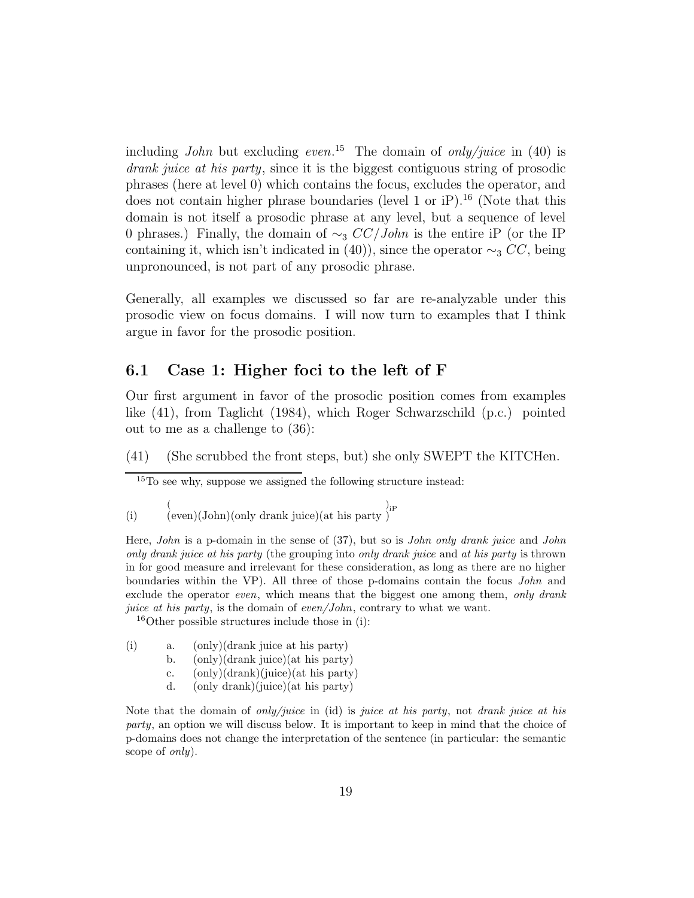including *John* but excluding even.<sup>15</sup> The domain of *only/juice* in (40) is drank juice at his party, since it is the biggest contiguous string of prosodic phrases (here at level 0) which contains the focus, excludes the operator, and does not contain higher phrase boundaries (level 1 or  $iP$ ).<sup>16</sup> (Note that this domain is not itself a prosodic phrase at any level, but a sequence of level 0 phrases.) Finally, the domain of  $\sim$ <sub>3</sub>  $CC/John$  is the entire iP (or the IP containing it, which isn't indicated in (40)), since the operator  $\sim_3 CC$ , being unpronounced, is not part of any prosodic phrase.

Generally, all examples we discussed so far are re-analyzable under this prosodic view on focus domains. I will now turn to examples that I think argue in favor for the prosodic position.

#### 6.1 Case 1: Higher foci to the left of F

Our first argument in favor of the prosodic position comes from examples like (41), from Taglicht (1984), which Roger Schwarzschild (p.c.) pointed out to me as a challenge to (36):

(41) (She scrubbed the front steps, but) she only SWEPT the KITCHen.

<sup>15</sup>To see why, suppose we assigned the following structure instead:

(i) ( (even)(John)(only drank juice)(at his party  $\big)_{i \mathrm{P}}$ 

Here, *John* is a p-domain in the sense of (37), but so is *John only drank juice* and *John* only drank juice at his party (the grouping into only drank juice and at his party is thrown in for good measure and irrelevant for these consideration, as long as there are no higher boundaries within the VP). All three of those p-domains contain the focus John and exclude the operator even, which means that the biggest one among them, only drank juice at his party, is the domain of even/John, contrary to what we want.

 $16$ Other possible structures include those in (i):

- (i) a. (only)(drank juice at his party)
	- b. (only)(drank juice)(at his party)
	- c. (only)(drank)(juice)(at his party)
	- d. (only drank)(juice)(at his party)

Note that the domain of *only/juice* in (id) is *juice at his party*, not *drank juice at his* party, an option we will discuss below. It is important to keep in mind that the choice of p-domains does not change the interpretation of the sentence (in particular: the semantic scope of *only*).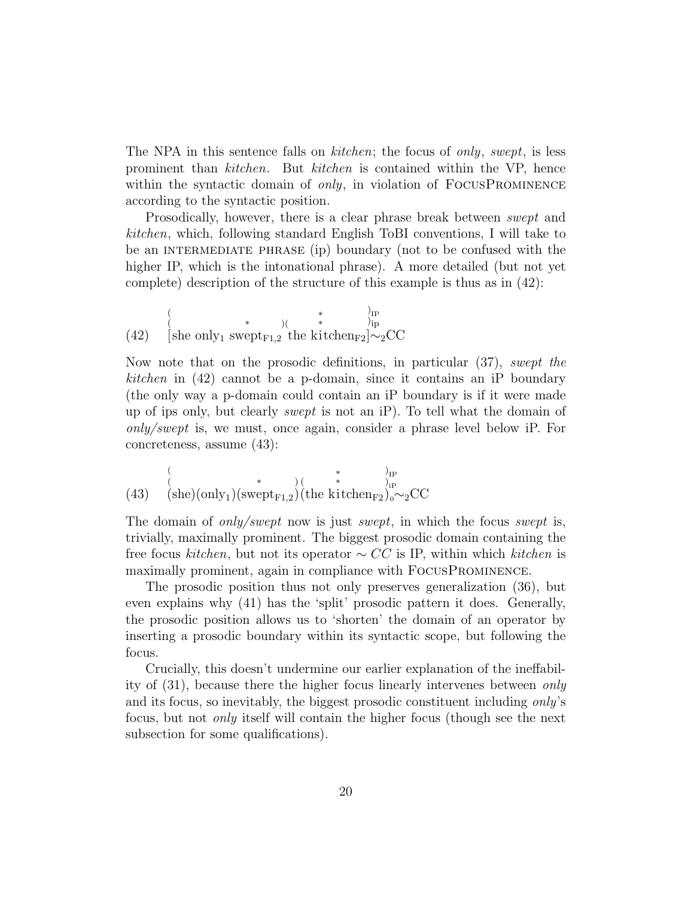The NPA in this sentence falls on *kitchen*; the focus of *only*, *swept*, is less prominent than kitchen. But kitchen is contained within the VP, hence within the syntactic domain of *only*, in violation of  $\text{FOCUSPROMINENCE}$ according to the syntactic position.

Prosodically, however, there is a clear phrase break between *swept* and kitchen, which, following standard English ToBI conventions, I will take to be an INTERMEDIATE PHRASE (ip) boundary (not to be confused with the higher IP, which is the intonational phrase). A more detailed (but not yet complete) description of the structure of this example is thus as in (42):

(42) ( ( [she only<sup>1</sup> sw \* eptF1,2 )( the k \* \* itchenF2 ) IP ) ip ]∼2CC

Now note that on the prosodic definitions, in particular (37), swept the kitchen in (42) cannot be a p-domain, since it contains an iP boundary (the only way a p-domain could contain an iP boundary is if it were made up of ips only, but clearly swept is not an iP). To tell what the domain of only/swept is, we must, once again, consider a phrase level below iP. For concreteness, assume (43):

(43) 
$$
\begin{array}{cc}\n & \text{if } \\
 & \text{(she)}\text{(only)}\text{(swept}_{F1,2}\text{)(the kitchen}_{F2}\text{)}\text{ or } \\
\text{(43)} & \text{(she)}\text{(only)}\text{(swept}_{F1,2}\text{)(the kitchen}_{F2}\text{)}\text{ or } \text{2CC}\n\end{array}
$$

The domain of *only/swept* now is just *swept*, in which the focus *swept* is, trivially, maximally prominent. The biggest prosodic domain containing the free focus kitchen, but not its operator  $\sim CC$  is IP, within which kitchen is maximally prominent, again in compliance with FocusProminence.

The prosodic position thus not only preserves generalization (36), but even explains why (41) has the 'split' prosodic pattern it does. Generally, the prosodic position allows us to 'shorten' the domain of an operator by inserting a prosodic boundary within its syntactic scope, but following the focus.

Crucially, this doesn't undermine our earlier explanation of the ineffability of (31), because there the higher focus linearly intervenes between only and its focus, so inevitably, the biggest prosodic constituent including only's focus, but not only itself will contain the higher focus (though see the next subsection for some qualifications).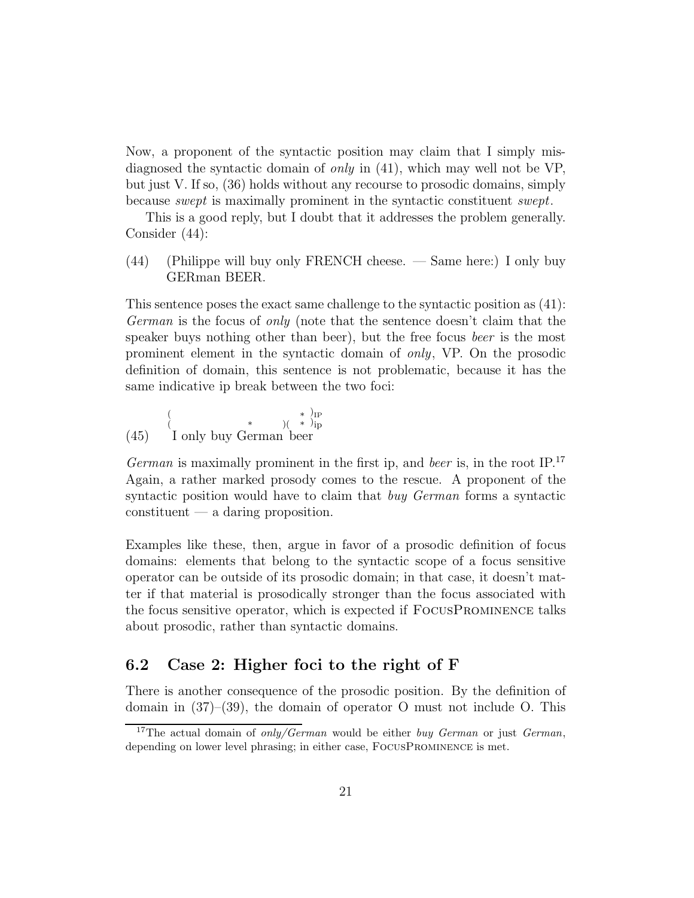Now, a proponent of the syntactic position may claim that I simply misdiagnosed the syntactic domain of only in (41), which may well not be VP, but just V. If so, (36) holds without any recourse to prosodic domains, simply because swept is maximally prominent in the syntactic constituent swept.

This is a good reply, but I doubt that it addresses the problem generally. Consider (44):

(44) (Philippe will buy only FRENCH cheese. — Same here:) I only buy GERman BEER.

This sentence poses the exact same challenge to the syntactic position as (41): German is the focus of only (note that the sentence doesn't claim that the speaker buys nothing other than beer), but the free focus beer is the most prominent element in the syntactic domain of only, VP. On the prosodic definition of domain, this sentence is not problematic, because it has the same indicative ip break between the two foci:

(45) ( ( \* )( \* \* I only buy G erman b eer ) IP ) ip

German is maximally prominent in the first ip, and beer is, in the root  $IP^{17}$ Again, a rather marked prosody comes to the rescue. A proponent of the syntactic position would have to claim that *buy German* forms a syntactic constituent — a daring proposition.

Examples like these, then, argue in favor of a prosodic definition of focus domains: elements that belong to the syntactic scope of a focus sensitive operator can be outside of its prosodic domain; in that case, it doesn't matter if that material is prosodically stronger than the focus associated with the focus sensitive operator, which is expected if FocusProminence talks about prosodic, rather than syntactic domains.

#### 6.2 Case 2: Higher foci to the right of F

There is another consequence of the prosodic position. By the definition of domain in  $(37)$ – $(39)$ , the domain of operator O must not include O. This

<sup>&</sup>lt;sup>17</sup>The actual domain of *only/German* would be either *buy German* or just *German*, depending on lower level phrasing; in either case, FocusProminence is met.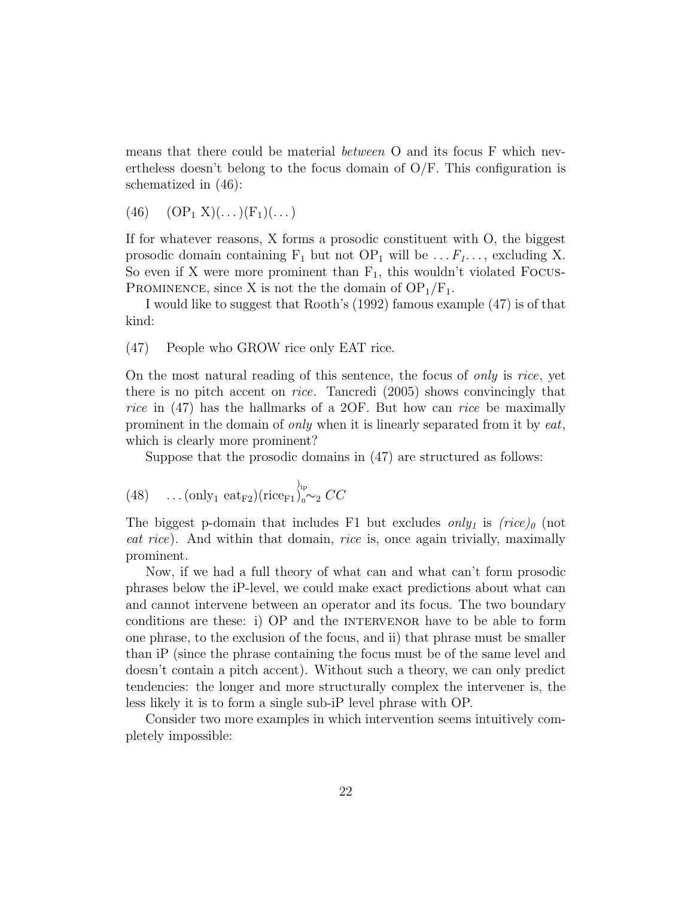means that there could be material between O and its focus F which nevertheless doesn't belong to the focus domain of  $O/F$ . This configuration is schematized in (46):

 $(46)$   $(OP_1 X)(\dots)(F_1)(\dots)$ 

If for whatever reasons, X forms a prosodic constituent with O, the biggest prosodic domain containing  $F_1$  but not  $OP_1$  will be ...  $F_1$ ..., excluding X. So even if X were more prominent than  $F_1$ , this wouldn't violated FOCUS-PROMINENCE, since X is not the the domain of  $\text{OP}_1/\text{F}_1$ .

I would like to suggest that Rooth's (1992) famous example (47) is of that kind:

(47) People who GROW rice only EAT rice.

On the most natural reading of this sentence, the focus of only is rice, yet there is no pitch accent on rice. Tancredi (2005) shows convincingly that rice in (47) has the hallmarks of a 2OF. But how can rice be maximally prominent in the domain of only when it is linearly separated from it by eat, which is clearly more prominent?

Suppose that the prosodic domains in (47) are structured as follows:

(48) ... (only<sub>1</sub> eat<sub>F2</sub>)(rice<sub>F1</sub>)<sub>0</sub><sup>0</sup><sub>0</sub>
$$
\sim
$$
<sub>2</sub>  $CC$ 

The biggest p-domain that includes F1 but excludes only<sub>1</sub> is  $(rice)_0$  (not eat rice). And within that domain, rice is, once again trivially, maximally prominent.

Now, if we had a full theory of what can and what can't form prosodic phrases below the iP-level, we could make exact predictions about what can and cannot intervene between an operator and its focus. The two boundary conditions are these: i) OP and the INTERVENOR have to be able to form one phrase, to the exclusion of the focus, and ii) that phrase must be smaller than iP (since the phrase containing the focus must be of the same level and doesn't contain a pitch accent). Without such a theory, we can only predict tendencies: the longer and more structurally complex the intervener is, the less likely it is to form a single sub-iP level phrase with OP.

Consider two more examples in which intervention seems intuitively completely impossible: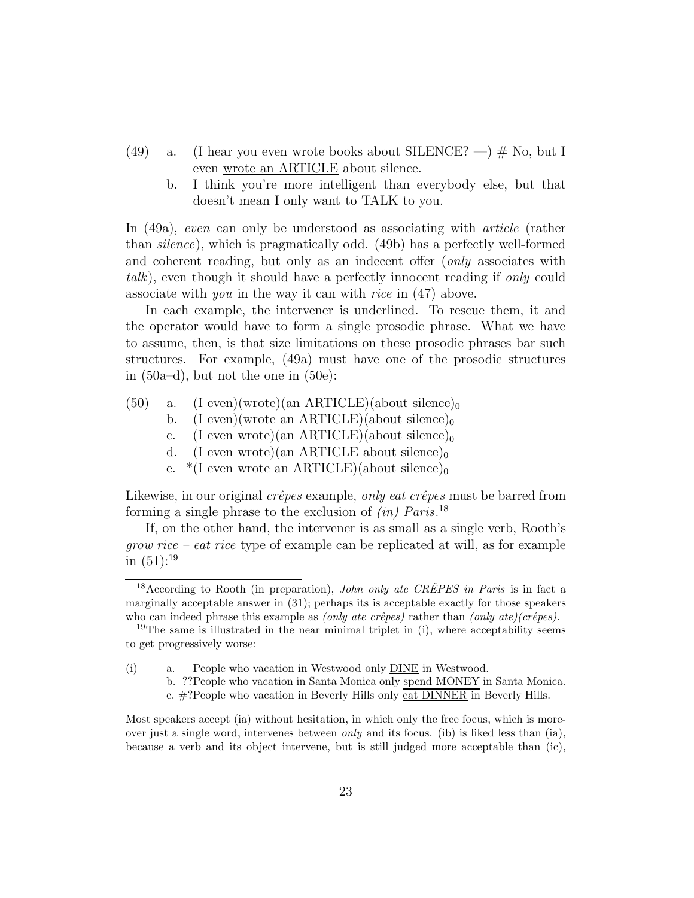- (49) a. (I hear you even wrote books about SILENCE?  $-$ )  $\#$  No, but I even wrote an ARTICLE about silence.
	- b. I think you're more intelligent than everybody else, but that doesn't mean I only want to TALK to you.

In (49a), even can only be understood as associating with *article* (rather than silence), which is pragmatically odd. (49b) has a perfectly well-formed and coherent reading, but only as an indecent offer (only associates with talk), even though it should have a perfectly innocent reading if only could associate with you in the way it can with rice in (47) above.

In each example, the intervener is underlined. To rescue them, it and the operator would have to form a single prosodic phrase. What we have to assume, then, is that size limitations on these prosodic phrases bar such structures. For example, (49a) must have one of the prosodic structures in (50a–d), but not the one in (50e):

- $(50)$  a. (I even)(wrote)(an ARTICLE)(about silence)<sub>0</sub>
	- b. (I even)(wrote an ARTICLE)(about silence)<sub>0</sub>
	- c. (I even wrote)(an ARTICLE)(about silence)<sub>0</sub>
	- d. (I even wrote)(an ARTICLE about silence)<sub>0</sub>
	- e.  $*(I \text{ even wrote an ARTICLE})(about silence)_0$

Likewise, in our original  $c\hat{re}pes$  example, only eat  $c\hat{re}pes$  must be barred from forming a single phrase to the exclusion of  $(in)$   $Paris.^{18}$ 

If, on the other hand, the intervener is as small as a single verb, Rooth's *grow rice – eat rice* type of example can be replicated at will, as for example in  $(51):^{19}$ 

(i) a. People who vacation in Westwood only DINE in Westwood.

b. ??People who vacation in Santa Monica only spend MONEY in Santa Monica. c. #?People who vacation in Beverly Hills only eat DINNER in Beverly Hills.

Most speakers accept (ia) without hesitation, in which only the free focus, which is moreover just a single word, intervenes between *only* and its focus. (ib) is liked less than (ia), because a verb and its object intervene, but is still judged more acceptable than (ic),

<sup>&</sup>lt;sup>18</sup> According to Rooth (in preparation), *John only ate CREPES in Paris* is in fact a marginally acceptable answer in (31); perhaps its is acceptable exactly for those speakers who can indeed phrase this example as *(only ate crêpes)* rather than *(only ate)(crêpes)*.

<sup>&</sup>lt;sup>19</sup>The same is illustrated in the near minimal triplet in (i), where acceptability seems to get progressively worse: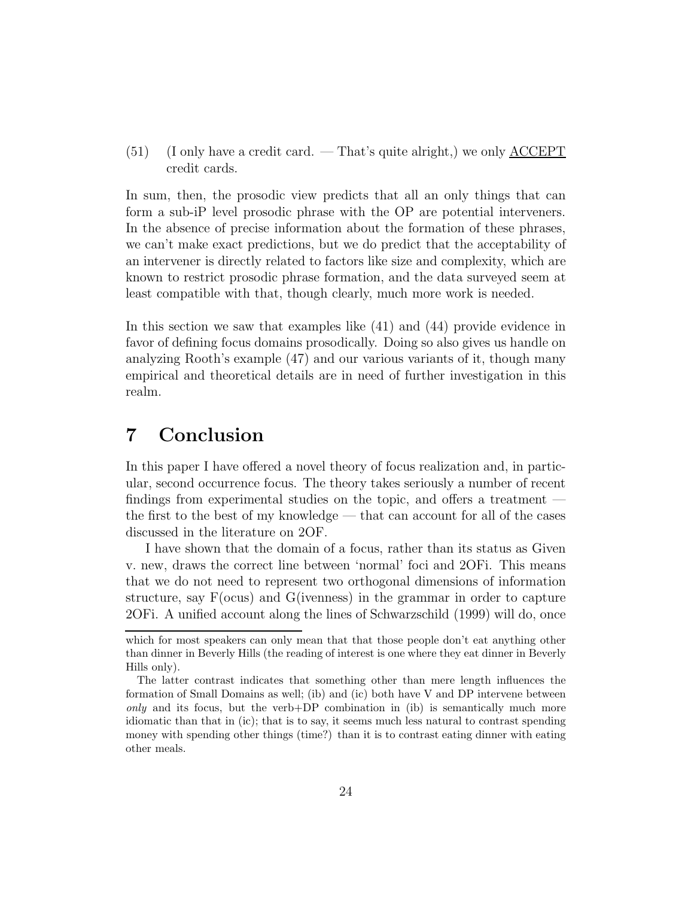(51) (I only have a credit card. — That's quite alright,) we only ACCEPT credit cards.

In sum, then, the prosodic view predicts that all an only things that can form a sub-iP level prosodic phrase with the OP are potential interveners. In the absence of precise information about the formation of these phrases, we can't make exact predictions, but we do predict that the acceptability of an intervener is directly related to factors like size and complexity, which are known to restrict prosodic phrase formation, and the data surveyed seem at least compatible with that, though clearly, much more work is needed.

In this section we saw that examples like (41) and (44) provide evidence in favor of defining focus domains prosodically. Doing so also gives us handle on analyzing Rooth's example (47) and our various variants of it, though many empirical and theoretical details are in need of further investigation in this realm.

# 7 Conclusion

In this paper I have offered a novel theory of focus realization and, in particular, second occurrence focus. The theory takes seriously a number of recent findings from experimental studies on the topic, and offers a treatment the first to the best of my knowledge — that can account for all of the cases discussed in the literature on 2OF.

I have shown that the domain of a focus, rather than its status as Given v. new, draws the correct line between 'normal' foci and 2OFi. This means that we do not need to represent two orthogonal dimensions of information structure, say F(ocus) and G(ivenness) in the grammar in order to capture 2OFi. A unified account along the lines of Schwarzschild (1999) will do, once

which for most speakers can only mean that that those people don't eat anything other than dinner in Beverly Hills (the reading of interest is one where they eat dinner in Beverly Hills only).

The latter contrast indicates that something other than mere length influences the formation of Small Domains as well; (ib) and (ic) both have V and DP intervene between only and its focus, but the verb+DP combination in (ib) is semantically much more idiomatic than that in (ic); that is to say, it seems much less natural to contrast spending money with spending other things (time?) than it is to contrast eating dinner with eating other meals.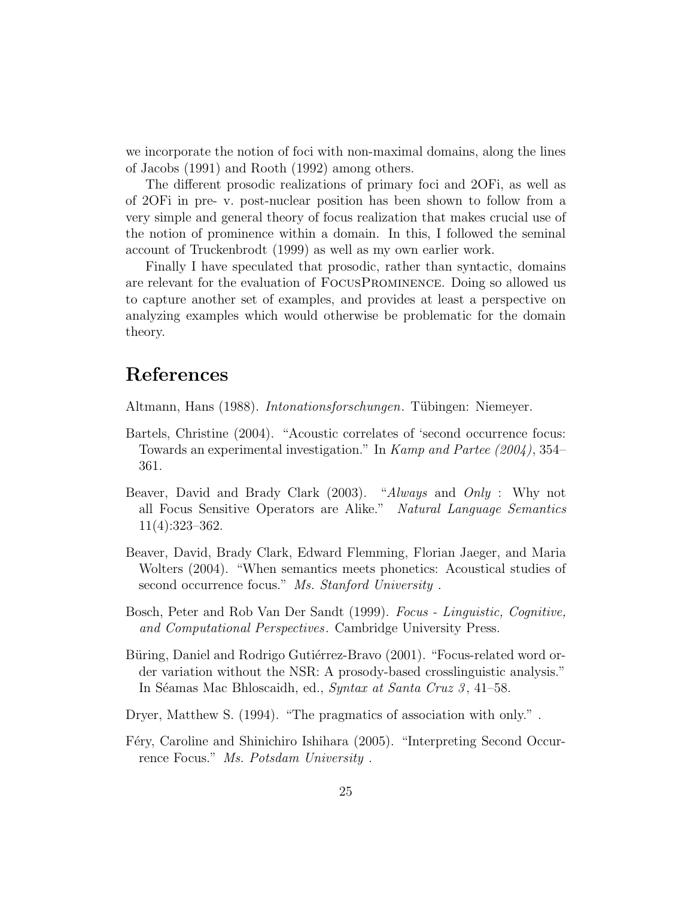we incorporate the notion of foci with non-maximal domains, along the lines of Jacobs (1991) and Rooth (1992) among others.

The different prosodic realizations of primary foci and 2OFi, as well as of 2OFi in pre- v. post-nuclear position has been shown to follow from a very simple and general theory of focus realization that makes crucial use of the notion of prominence within a domain. In this, I followed the seminal account of Truckenbrodt (1999) as well as my own earlier work.

Finally I have speculated that prosodic, rather than syntactic, domains are relevant for the evaluation of FocusProminence. Doing so allowed us to capture another set of examples, and provides at least a perspective on analyzing examples which would otherwise be problematic for the domain theory.

# References

Altmann, Hans (1988). *Intonationsforschungen*. Tübingen: Niemeyer.

- Bartels, Christine (2004). "Acoustic correlates of 'second occurrence focus: Towards an experimental investigation." In Kamp and Partee (2004), 354– 361.
- Beaver, David and Brady Clark (2003). "Always and Only : Why not all Focus Sensitive Operators are Alike." Natural Language Semantics 11(4):323–362.
- Beaver, David, Brady Clark, Edward Flemming, Florian Jaeger, and Maria Wolters (2004). "When semantics meets phonetics: Acoustical studies of second occurrence focus." Ms. Stanford University.
- Bosch, Peter and Rob Van Der Sandt (1999). Focus Linguistic, Cognitive, and Computational Perspectives. Cambridge University Press.
- Büring, Daniel and Rodrigo Gutiérrez-Bravo (2001). "Focus-related word order variation without the NSR: A prosody-based crosslinguistic analysis." In Séamas Mac Bhloscaidh, ed., Syntax at Santa Cruz 3, 41–58.
- Dryer, Matthew S. (1994). "The pragmatics of association with only." .
- Féry, Caroline and Shinichiro Ishihara (2005). "Interpreting Second Occurrence Focus." Ms. Potsdam University .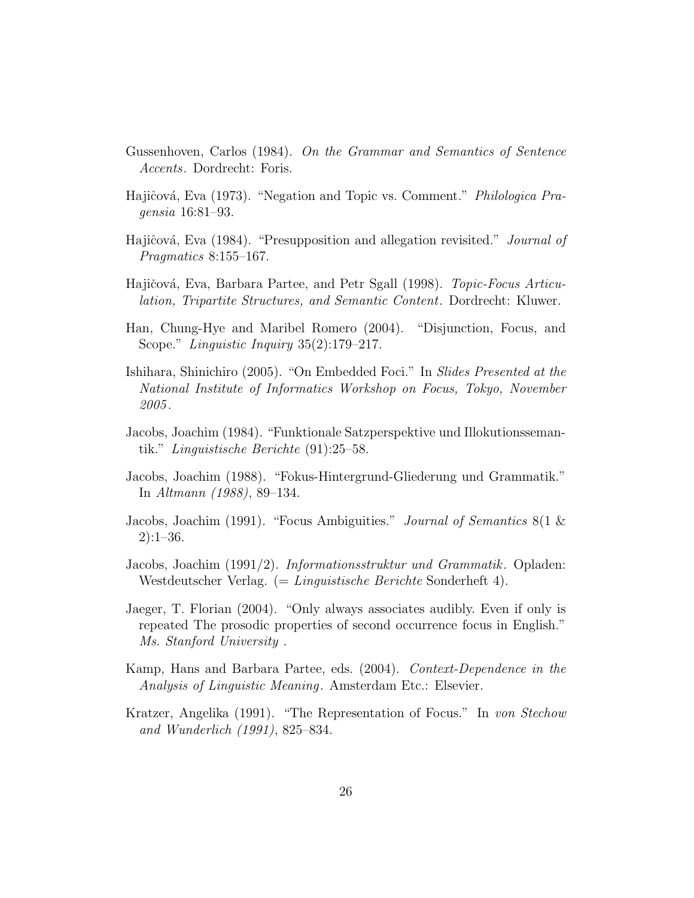- Gussenhoven, Carlos (1984). On the Grammar and Semantics of Sentence Accents. Dordrecht: Foris.
- Hajiĉová, Eva (1973). "Negation and Topic vs. Comment." *Philologica Pra*gensia 16:81–93.
- Hajiĉová, Eva (1984). "Presupposition and allegation revisited." *Journal of* Pragmatics 8:155–167.
- Hajičová, Eva, Barbara Partee, and Petr Sgall (1998). *Topic-Focus Articu*lation, Tripartite Structures, and Semantic Content. Dordrecht: Kluwer.
- Han, Chung-Hye and Maribel Romero (2004). "Disjunction, Focus, and Scope." Linguistic Inquiry 35(2):179–217.
- Ishihara, Shinichiro (2005). "On Embedded Foci." In Slides Presented at the National Institute of Informatics Workshop on Focus, Tokyo, November 2005 .
- Jacobs, Joachim (1984). "Funktionale Satzperspektive und Illokutionssemantik." Linguistische Berichte (91):25–58.
- Jacobs, Joachim (1988). "Fokus-Hintergrund-Gliederung und Grammatik." In Altmann (1988), 89–134.
- Jacobs, Joachim (1991). "Focus Ambiguities." Journal of Semantics 8(1 & 2):1–36.
- Jacobs, Joachim (1991/2). Informationsstruktur und Grammatik. Opladen: Westdeutscher Verlag. (= Linguistische Berichte Sonderheft 4).
- Jaeger, T. Florian (2004). "Only always associates audibly. Even if only is repeated The prosodic properties of second occurrence focus in English." Ms. Stanford University .
- Kamp, Hans and Barbara Partee, eds. (2004). Context-Dependence in the Analysis of Linguistic Meaning. Amsterdam Etc.: Elsevier.
- Kratzer, Angelika (1991). "The Representation of Focus." In von Stechow and Wunderlich (1991), 825–834.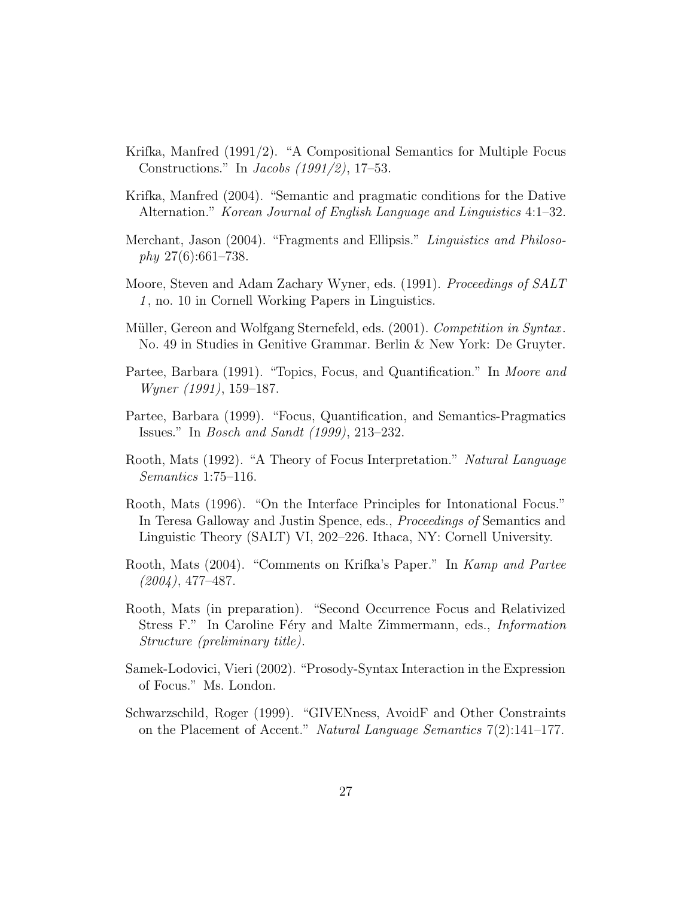- Krifka, Manfred (1991/2). "A Compositional Semantics for Multiple Focus Constructions." In Jacobs (1991/2), 17–53.
- Krifka, Manfred (2004). "Semantic and pragmatic conditions for the Dative Alternation." Korean Journal of English Language and Linguistics 4:1–32.
- Merchant, Jason (2004). "Fragments and Ellipsis." Linguistics and Philoso $phy 27(6):661–738.$
- Moore, Steven and Adam Zachary Wyner, eds. (1991). Proceedings of SALT 1 , no. 10 in Cornell Working Papers in Linguistics.
- Müller, Gereon and Wolfgang Sternefeld, eds. (2001). Competition in Syntax. No. 49 in Studies in Genitive Grammar. Berlin & New York: De Gruyter.
- Partee, Barbara (1991). "Topics, Focus, and Quantification." In Moore and Wyner (1991), 159–187.
- Partee, Barbara (1999). "Focus, Quantification, and Semantics-Pragmatics Issues." In Bosch and Sandt (1999), 213–232.
- Rooth, Mats (1992). "A Theory of Focus Interpretation." Natural Language Semantics 1:75–116.
- Rooth, Mats (1996). "On the Interface Principles for Intonational Focus." In Teresa Galloway and Justin Spence, eds., Proceedings of Semantics and Linguistic Theory (SALT) VI, 202–226. Ithaca, NY: Cornell University.
- Rooth, Mats (2004). "Comments on Krifka's Paper." In Kamp and Partee (2004), 477–487.
- Rooth, Mats (in preparation). "Second Occurrence Focus and Relativized Stress F." In Caroline Féry and Malte Zimmermann, eds., *Information* Structure (preliminary title).
- Samek-Lodovici, Vieri (2002). "Prosody-Syntax Interaction in the Expression of Focus." Ms. London.
- Schwarzschild, Roger (1999). "GIVENness, AvoidF and Other Constraints on the Placement of Accent." Natural Language Semantics 7(2):141–177.